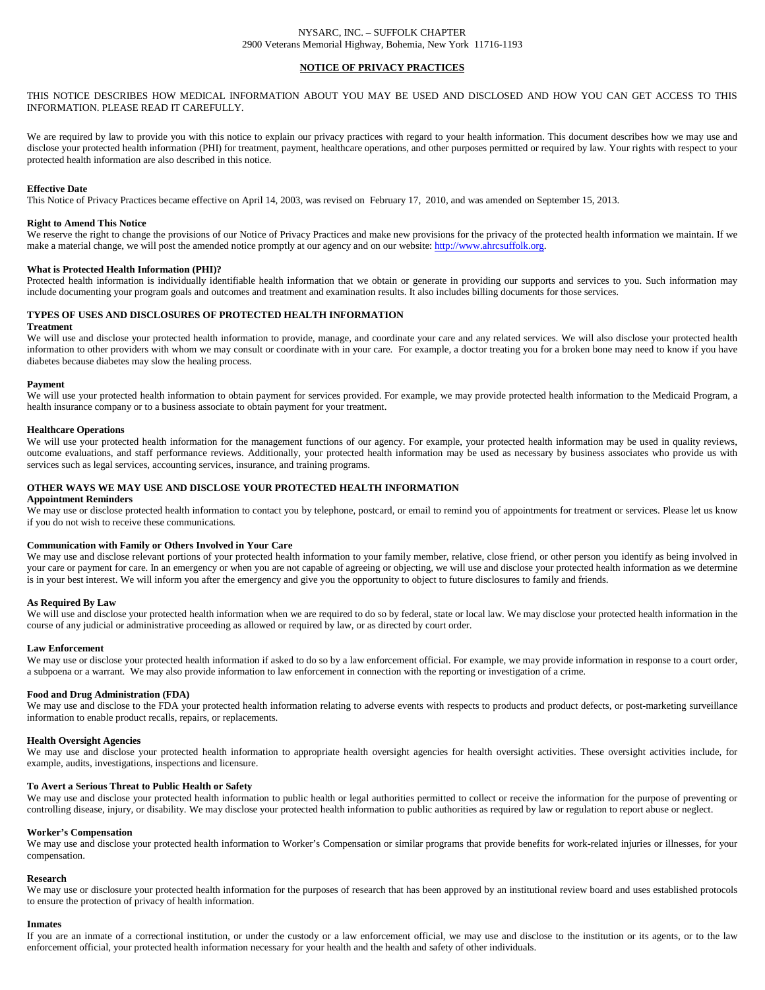### NYSARC, INC. – SUFFOLK CHAPTER 2900 Veterans Memorial Highway, Bohemia, New York 11716-1193

# **NOTICE OF PRIVACY PRACTICES**

THIS NOTICE DESCRIBES HOW MEDICAL INFORMATION ABOUT YOU MAY BE USED AND DISCLOSED AND HOW YOU CAN GET ACCESS TO THIS INFORMATION. PLEASE READ IT CAREFULLY.

We are required by law to provide you with this notice to explain our privacy practices with regard to your health information. This document describes how we may use and disclose your protected health information (PHI) for treatment, payment, healthcare operations, and other purposes permitted or required by law. Your rights with respect to your protected health information are also described in this notice.

### **Effective Date**

This Notice of Privacy Practices became effective on April 14, 2003, was revised on February 17, 2010, and was amended on September 15, 2013.

### **Right to Amend This Notice**

We reserve the right to change the provisions of our Notice of Privacy Practices and make new provisions for the privacy of the protected health information we maintain. If we make a material change, we will post the amended notice promptly at our agency and on our website[: http://www.ahrcsuffolk.org.](http://www.ahrcsuffolk.org/)

### **What is Protected Health Information (PHI)?**

Protected health information is individually identifiable health information that we obtain or generate in providing our supports and services to you. Such information may include documenting your program goals and outcomes and treatment and examination results. It also includes billing documents for those services.

# **TYPES OF USES AND DISCLOSURES OF PROTECTED HEALTH INFORMATION**

### **Treatment**

We will use and disclose your protected health information to provide, manage, and coordinate your care and any related services. We will also disclose your protected health information to other providers with whom we may consult or coordinate with in your care. For example, a doctor treating you for a broken bone may need to know if you have diabetes because diabetes may slow the healing process.

### **Payment**

We will use your protected health information to obtain payment for services provided. For example, we may provide protected health information to the Medicaid Program, a health insurance company or to a business associate to obtain payment for your treatment.

### **Healthcare Operations**

We will use your protected health information for the management functions of our agency. For example, your protected health information may be used in quality reviews, outcome evaluations, and staff performance reviews. Additionally, your protected health information may be used as necessary by business associates who provide us with services such as legal services, accounting services, insurance, and training programs.

### **OTHER WAYS WE MAY USE AND DISCLOSE YOUR PROTECTED HEALTH INFORMATION**

# **Appointment Reminders**

We may use or disclose protected health information to contact you by telephone, postcard, or email to remind you of appointments for treatment or services. Please let us know if you do not wish to receive these communications.

## **Communication with Family or Others Involved in Your Care**

We may use and disclose relevant portions of your protected health information to your family member, relative, close friend, or other person you identify as being involved in your care or payment for care. In an emergency or when you are not capable of agreeing or objecting, we will use and disclose your protected health information as we determine is in your best interest. We will inform you after the emergency and give you the opportunity to object to future disclosures to family and friends.

### **As Required By Law**

We will use and disclose your protected health information when we are required to do so by federal, state or local law. We may disclose your protected health information in the course of any judicial or administrative proceeding as allowed or required by law, or as directed by court order.

### **Law Enforcement**

We may use or disclose your protected health information if asked to do so by a law enforcement official. For example, we may provide information in response to a court order, a subpoena or a warrant. We may also provide information to law enforcement in connection with the reporting or investigation of a crime.

### **Food and Drug Administration (FDA)**

We may use and disclose to the FDA your protected health information relating to adverse events with respects to products and product defects, or post-marketing surveillance information to enable product recalls, repairs, or replacements.

#### **Health Oversight Agencies**

We may use and disclose your protected health information to appropriate health oversight agencies for health oversight activities. These oversight activities include, for example, audits, investigations, inspections and licensure.

### **To Avert a Serious Threat to Public Health or Safety**

We may use and disclose your protected health information to public health or legal authorities permitted to collect or receive the information for the purpose of preventing or controlling disease, injury, or disability. We may disclose your protected health information to public authorities as required by law or regulation to report abuse or neglect.

### **Worker's Compensation**

We may use and disclose your protected health information to Worker's Compensation or similar programs that provide benefits for work-related injuries or illnesses, for your compensation.

### **Research**

We may use or disclosure your protected health information for the purposes of research that has been approved by an institutional review board and uses established protocols to ensure the protection of privacy of health information.

#### **Inmates**

If you are an inmate of a correctional institution, or under the custody or a law enforcement official, we may use and disclose to the institution or its agents, or to the law enforcement official, your protected health information necessary for your health and the health and safety of other individuals.